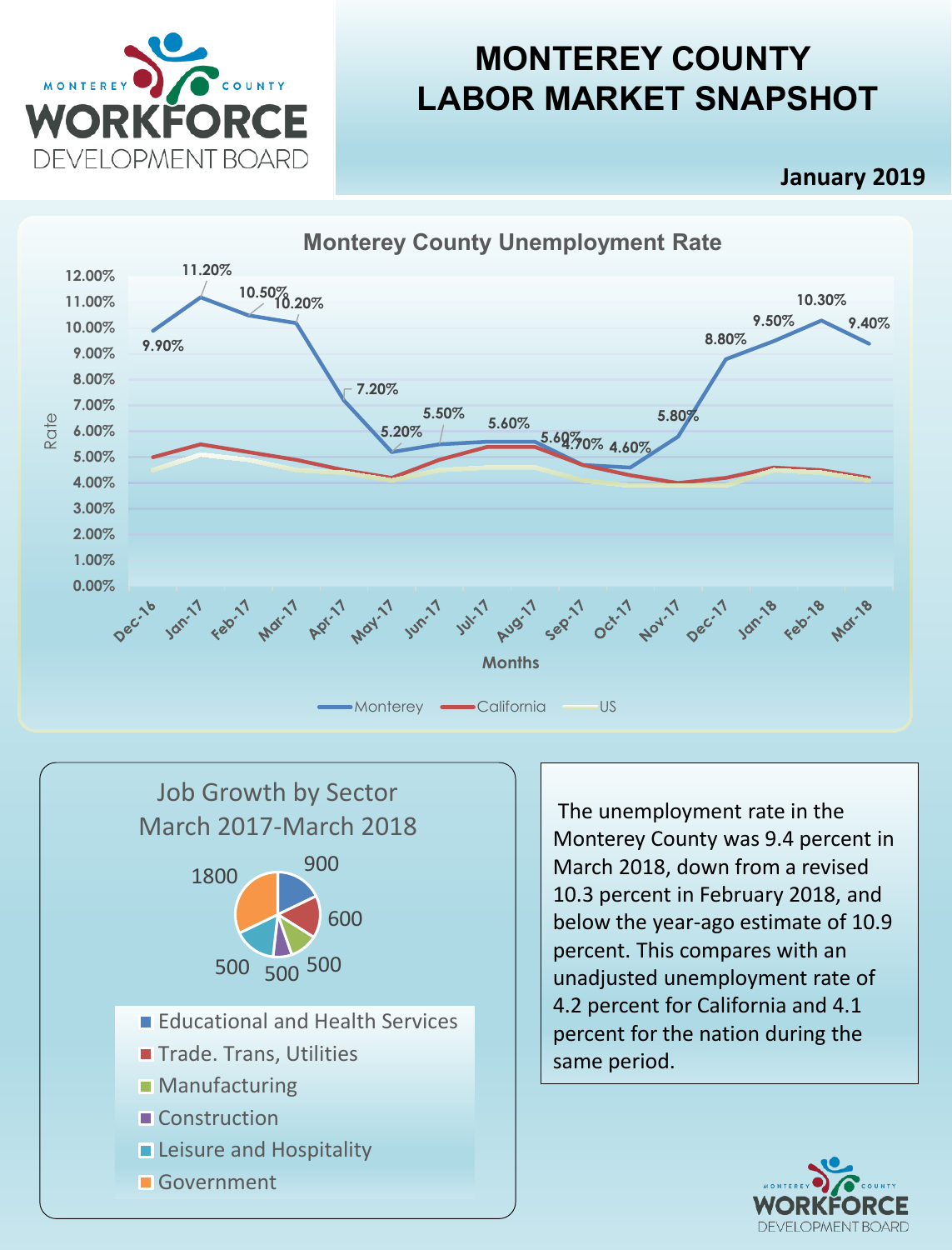

# **MONTEREY COUNTY LABOR MARKET SNAPSHOT**

**January 2019**





The unemployment rate in the Monterey County was 9.4 percent in March 2018, down from a revised 10.3 percent in February 2018, and below the year-ago estimate of 10.9 percent. This compares with an unadjusted unemployment rate of 4.2 percent for California and 4.1 percent for the nation during the same period.